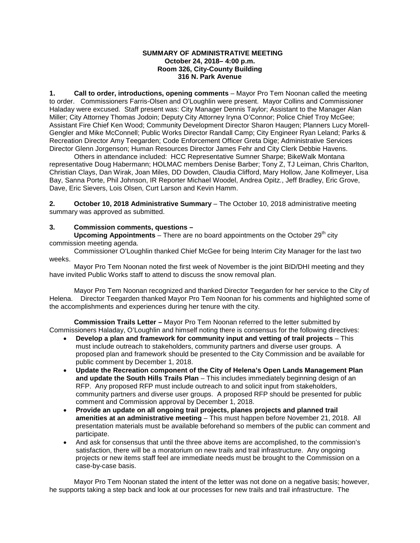#### **SUMMARY OF ADMINISTRATIVE MEETING October 24, 2018– 4:00 p.m. Room 326, City-County Building 316 N. Park Avenue**

**1. Call to order, introductions, opening comments** – Mayor Pro Tem Noonan called the meeting to order. Commissioners Farris-Olsen and O'Loughlin were present. Mayor Collins and Commissioner Haladay were excused. Staff present was: City Manager Dennis Taylor; Assistant to the Manager Alan Miller; City Attorney Thomas Jodoin; Deputy City Attorney Iryna O'Connor; Police Chief Troy McGee; Assistant Fire Chief Ken Wood; Community Development Director Sharon Haugen; Planners Lucy Morell-Gengler and Mike McConnell; Public Works Director Randall Camp; City Engineer Ryan Leland; Parks & Recreation Director Amy Teegarden; Code Enforcement Officer Greta Dige; Administrative Services Director Glenn Jorgenson; Human Resources Director James Fehr and City Clerk Debbie Havens.

Others in attendance included: HCC Representative Sumner Sharpe; BikeWalk Montana representative Doug Habermann; HOLMAC members Denise Barber; Tony Z, TJ Leiman, Chris Charlton, Christian Clays, Dan Wirak, Joan Miles, DD Dowden, Claudia Clifford, Mary Hollow, Jane Kollmeyer, Lisa Bay, Sanna Porte, Phil Johnson, IR Reporter Michael Woodel, Andrea Opitz., Jeff Bradley, Eric Grove, Dave, Eric Sievers, Lois Olsen, Curt Larson and Kevin Hamm.

**2. October 10, 2018 Administrative Summary** – The October 10, 2018 administrative meeting summary was approved as submitted.

### **3. Commission comments, questions –**

**Upcoming Appointments** – There are no board appointments on the October 29<sup>th</sup> city commission meeting agenda.

Commissioner O'Loughlin thanked Chief McGee for being Interim City Manager for the last two weeks.

Mayor Pro Tem Noonan noted the first week of November is the joint BID/DHI meeting and they have invited Public Works staff to attend to discuss the snow removal plan.

Mayor Pro Tem Noonan recognized and thanked Director Teegarden for her service to the City of Helena. Director Teegarden thanked Mayor Pro Tem Noonan for his comments and highlighted some of the accomplishments and experiences during her tenure with the city.

**Commission Trails Letter –** Mayor Pro Tem Noonan referred to the letter submitted by Commissioners Haladay, O'Loughlin and himself noting there is consensus for the following directives:

- **Develop a plan and framework for community input and vetting of trail projects** This must include outreach to stakeholders, community partners and diverse user groups. A proposed plan and framework should be presented to the City Commission and be available for public comment by December 1, 2018.
- **Update the Recreation component of the City of Helena's Open Lands Management Plan and update the South Hills Trails Plan** – This includes immediately beginning design of an RFP. Any proposed RFP must include outreach to and solicit input from stakeholders, community partners and diverse user groups. A proposed RFP should be presented for public comment and Commission approval by December 1, 2018.
- **Provide an update on all ongoing trail projects, planes projects and planned trail amenities at an administrative meeting** – This must happen before November 21, 2018. All presentation materials must be available beforehand so members of the public can comment and participate.
- And ask for consensus that until the three above items are accomplished, to the commission's satisfaction, there will be a moratorium on new trails and trail infrastructure. Any ongoing projects or new items staff feel are immediate needs must be brought to the Commission on a case-by-case basis.

Mayor Pro Tem Noonan stated the intent of the letter was not done on a negative basis; however, he supports taking a step back and look at our processes for new trails and trail infrastructure. The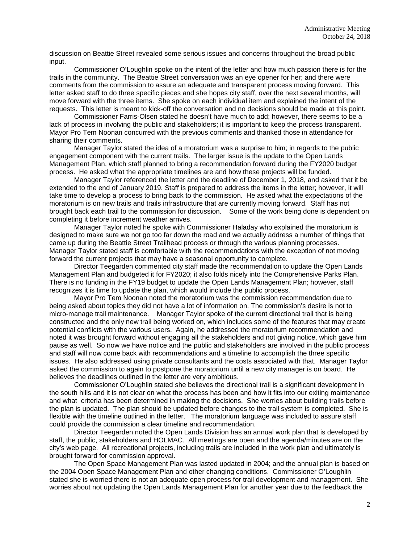discussion on Beattie Street revealed some serious issues and concerns throughout the broad public input.

Commissioner O'Loughlin spoke on the intent of the letter and how much passion there is for the trails in the community. The Beattie Street conversation was an eye opener for her; and there were comments from the commission to assure an adequate and transparent process moving forward. This letter asked staff to do three specific pieces and she hopes city staff, over the next several months, will move forward with the three items. She spoke on each individual item and explained the intent of the requests. This letter is meant to kick-off the conversation and no decisions should be made at this point.

Commissioner Farris-Olsen stated he doesn't have much to add; however, there seems to be a lack of process in involving the public and stakeholders; it is important to keep the process transparent. Mayor Pro Tem Noonan concurred with the previous comments and thanked those in attendance for sharing their comments.

Manager Taylor stated the idea of a moratorium was a surprise to him; in regards to the public engagement component with the current trails. The larger issue is the update to the Open Lands Management Plan, which staff planned to bring a recommendation forward during the FY2020 budget process. He asked what the appropriate timelines are and how these projects will be funded.

Manager Taylor referenced the letter and the deadline of December 1, 2018, and asked that it be extended to the end of January 2019. Staff is prepared to address the items in the letter; however, it will take time to develop a process to bring back to the commission. He asked what the expectations of the moratorium is on new trails and trails infrastructure that are currently moving forward. Staff has not brought back each trail to the commission for discussion. Some of the work being done is dependent on completing it before increment weather arrives.

Manager Taylor noted he spoke with Commissioner Haladay who explained the moratorium is designed to make sure we not go too far down the road and we actually address a number of things that came up during the Beattie Street Trailhead process or through the various planning processes. Manager Taylor stated staff is comfortable with the recommendations with the exception of not moving forward the current projects that may have a seasonal opportunity to complete.

Director Teegarden commented city staff made the recommendation to update the Open Lands Management Plan and budgeted it for FY2020; it also folds nicely into the Comprehensive Parks Plan. There is no funding in the FY19 budget to update the Open Lands Management Plan; however, staff recognizes it is time to update the plan, which would include the public process.

Mayor Pro Tem Noonan noted the moratorium was the commission recommendation due to being asked about topics they did not have a lot of information on. The commission's desire is not to micro-manage trail maintenance. Manager Taylor spoke of the current directional trail that is being constructed and the only new trail being worked on, which includes some of the features that may create potential conflicts with the various users. Again, he addressed the moratorium recommendation and noted it was brought forward without engaging all the stakeholders and not giving notice, which gave him pause as well. So now we have notice and the public and stakeholders are involved in the public process and staff will now come back with recommendations and a timeline to accomplish the three specific issues. He also addressed using private consultants and the costs associated with that. Manager Taylor asked the commission to again to postpone the moratorium until a new city manager is on board. He believes the deadlines outlined in the letter are very ambitious.

Commissioner O'Loughlin stated she believes the directional trail is a significant development in the south hills and it is not clear on what the process has been and how it fits into our exiting maintenance and what criteria has been determined in making the decisions. She worries about building trails before the plan is updated. The plan should be updated before changes to the trail system is completed. She is flexible with the timeline outlined in the letter. The moratorium language was included to assure staff could provide the commission a clear timeline and recommendation.

Director Teegarden noted the Open Lands Division has an annual work plan that is developed by staff, the public, stakeholders and HOLMAC. All meetings are open and the agenda/minutes are on the city's web page. All recreational projects, including trails are included in the work plan and ultimately is brought forward for commission approval.

The Open Space Management Plan was lasted updated in 2004; and the annual plan is based on the 2004 Open Space Management Plan and other changing conditions. Commissioner O'Loughlin stated she is worried there is not an adequate open process for trail development and management. She worries about not updating the Open Lands Management Plan for another year due to the feedback the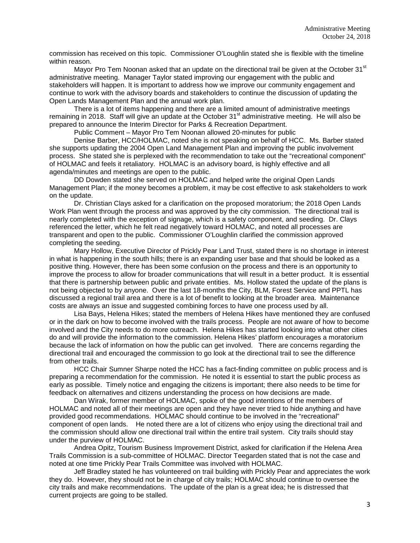commission has received on this topic. Commissioner O'Loughlin stated she is flexible with the timeline within reason.

Mayor Pro Tem Noonan asked that an update on the directional trail be given at the October 31<sup>st</sup> administrative meeting. Manager Taylor stated improving our engagement with the public and stakeholders will happen. It is important to address how we improve our community engagement and continue to work with the advisory boards and stakeholders to continue the discussion of updating the Open Lands Management Plan and the annual work plan.

There is a lot of items happening and there are a limited amount of administrative meetings remaining in 2018. Staff will give an update at the October 31<sup>st</sup> administrative meeting. He will also be prepared to announce the Interim Director for Parks & Recreation Department.

Public Comment – Mayor Pro Tem Noonan allowed 20-minutes for public

Denise Barber, HCC/HOLMAC, noted she is not speaking on behalf of HCC. Ms. Barber stated she supports updating the 2004 Open Land Management Plan and improving the public involvement process. She stated she is perplexed with the recommendation to take out the "recreational component" of HOLMAC and feels it retaliatory. HOLMAC is an advisory board, is highly effective and all agenda/minutes and meetings are open to the public.

DD Dowden stated she served on HOLMAC and helped write the original Open Lands Management Plan; if the money becomes a problem, it may be cost effective to ask stakeholders to work on the update.

Dr. Christian Clays asked for a clarification on the proposed moratorium; the 2018 Open Lands Work Plan went through the process and was approved by the city commission. The directional trail is nearly completed with the exception of signage, which is a safety component, and seeding. Dr. Clays referenced the letter, which he felt read negatively toward HOLMAC, and noted all processes are transparent and open to the public. Commissioner O'Loughlin clarified the commission approved completing the seeding.

Mary Hollow, Executive Director of Prickly Pear Land Trust, stated there is no shortage in interest in what is happening in the south hills; there is an expanding user base and that should be looked as a positive thing. However, there has been some confusion on the process and there is an opportunity to improve the process to allow for broader communications that will result in a better product. It is essential that there is partnership between public and private entities. Ms. Hollow stated the update of the plans is not being objected to by anyone. Over the last 18-months the City, BLM, Forest Service and PPTL has discussed a regional trail area and there is a lot of benefit to looking at the broader area. Maintenance costs are always an issue and suggested combining forces to have one process used by all.

Lisa Bays, Helena Hikes; stated the members of Helena Hikes have mentioned they are confused or in the dark on how to become involved with the trails process. People are not aware of how to become involved and the City needs to do more outreach. Helena Hikes has started looking into what other cities do and will provide the information to the commission. Helena Hikes' platform encourages a moratorium because the lack of information on how the public can get involved. There are concerns regarding the directional trail and encouraged the commission to go look at the directional trail to see the difference from other trails.

HCC Chair Sumner Sharpe noted the HCC has a fact-finding committee on public process and is preparing a recommendation for the commission. He noted it is essential to start the public process as early as possible. Timely notice and engaging the citizens is important; there also needs to be time for feedback on alternatives and citizens understanding the process on how decisions are made.

Dan Wirak, former member of HOLMAC, spoke of the good intentions of the members of HOLMAC and noted all of their meetings are open and they have never tried to hide anything and have provided good recommendations. HOLMAC should continue to be involved in the "recreational" component of open lands. He noted there are a lot of citizens who enjoy using the directional trail and the commission should allow one directional trail within the entire trail system. City trails should stay under the purview of HOLMAC.

Andrea Opitz, Tourism Business Improvement District, asked for clarification if the Helena Area Trails Commission is a sub-committee of HOLMAC. Director Teegarden stated that is not the case and noted at one time Prickly Pear Trails Committee was involved with HOLMAC.

Jeff Bradley stated he has volunteered on trail building with Prickly Pear and appreciates the work they do. However, they should not be in charge of city trails; HOLMAC should continue to oversee the city trails and make recommendations. The update of the plan is a great idea; he is distressed that current projects are going to be stalled.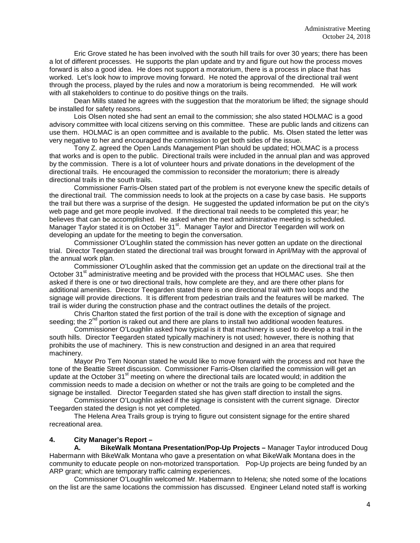Eric Grove stated he has been involved with the south hill trails for over 30 years; there has been a lot of different processes. He supports the plan update and try and figure out how the process moves forward is also a good idea. He does not support a moratorium, there is a process in place that has worked. Let's look how to improve moving forward. He noted the approval of the directional trail went through the process, played by the rules and now a moratorium is being recommended. He will work with all stakeholders to continue to do positive things on the trails.

Dean Mills stated he agrees with the suggestion that the moratorium be lifted; the signage should be installed for safety reasons.

Lois Olsen noted she had sent an email to the commission; she also stated HOLMAC is a good advisory committee with local citizens serving on this committee. These are public lands and citizens can use them. HOLMAC is an open committee and is available to the public. Ms. Olsen stated the letter was very negative to her and encouraged the commission to get both sides of the issue.

Tony Z. agreed the Open Lands Management Plan should be updated; HOLMAC is a process that works and is open to the public. Directional trails were included in the annual plan and was approved by the commission. There is a lot of volunteer hours and private donations in the development of the directional trails. He encouraged the commission to reconsider the moratorium; there is already directional trails in the south trails.

Commissioner Farris-Olsen stated part of the problem is not everyone knew the specific details of the directional trail. The commission needs to look at the projects on a case by case basis. He supports the trail but there was a surprise of the design. He suggested the updated information be put on the city's web page and get more people involved. If the directional trail needs to be completed this year; he believes that can be accomplished. He asked when the next administrative meeting is scheduled. Manager Taylor stated it is on October 31<sup>st</sup>. Manager Taylor and Director Teegarden will work on developing an update for the meeting to begin the conversation.

Commissioner O'Loughlin stated the commission has never gotten an update on the directional trial. Director Teegarden stated the directional trail was brought forward in April/May with the approval of the annual work plan.

Commissioner O'Loughlin asked that the commission get an update on the directional trail at the October  $31<sup>st</sup>$  administrative meeting and be provided with the process that HOLMAC uses. She then asked if there is one or two directional trails, how complete are they, and are there other plans for additional amenities. Director Teegarden stated there is one directional trail with two loops and the signage will provide directions. It is different from pedestrian trails and the features will be marked. The trail is wider during the construction phase and the contract outlines the details of the project.

Chris Charlton stated the first portion of the trail is done with the exception of signage and seeding; the  $2^{nd}$  portion is raked out and there are plans to install two additional wooden features.

Commissioner O'Loughlin asked how typical is it that machinery is used to develop a trail in the south hills. Director Teegarden stated typically machinery is not used; however, there is nothing that prohibits the use of machinery. This is new construction and designed in an area that required machinery.

Mayor Pro Tem Noonan stated he would like to move forward with the process and not have the tone of the Beattie Street discussion. Commissioner Farris-Olsen clarified the commission will get an update at the October 31<sup>st</sup> meeting on where the directional tails are located would; in addition the commission needs to made a decision on whether or not the trails are going to be completed and the signage be installed. Director Teegarden stated she has given staff direction to install the signs.

Commissioner O'Loughlin asked if the signage is consistent with the current signage. Director Teegarden stated the design is not yet completed.

The Helena Area Trails group is trying to figure out consistent signage for the entire shared recreational area.

#### **4. City Manager's Report –**

**A. BikeWalk Montana Presentation/Pop-Up Projects –** Manager Taylor introduced Doug Habermann with BikeWalk Montana who gave a presentation on what BikeWalk Montana does in the community to educate people on non-motorized transportation. Pop-Up projects are being funded by an ARP grant; which are temporary traffic calming experiences.

Commissioner O'Loughlin welcomed Mr. Habermann to Helena; she noted some of the locations on the list are the same locations the commission has discussed. Engineer Leland noted staff is working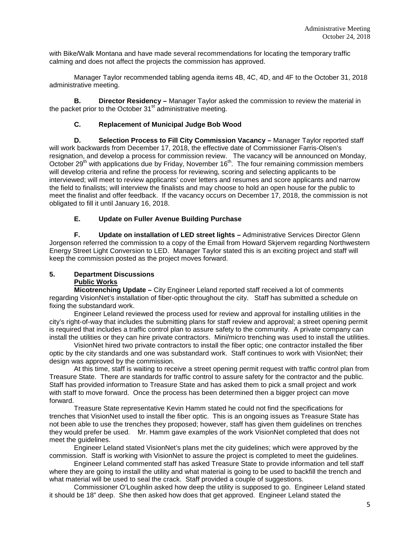with Bike/Walk Montana and have made several recommendations for locating the temporary traffic calming and does not affect the projects the commission has approved.

Manager Taylor recommended tabling agenda items 4B, 4C, 4D, and 4F to the October 31, 2018 administrative meeting.

**B. Director Residency –** Manager Taylor asked the commission to review the material in the packet prior to the October 31<sup>st</sup> administrative meeting.

## **C. Replacement of Municipal Judge Bob Wood**

**D. Selection Process to Fill City Commission Vacancy –** Manager Taylor reported staff will work backwards from December 17, 2018, the effective date of Commissioner Farris-Olsen's resignation, and develop a process for commission review. The vacancy will be announced on Monday, October 29<sup>th</sup> with applications due by Friday, November 16<sup>th</sup>. The four remaining commission members will develop criteria and refine the process for reviewing, scoring and selecting applicants to be interviewed; will meet to review applicants' cover letters and resumes and score applicants and narrow the field to finalists; will interview the finalists and may choose to hold an open house for the public to meet the finalist and offer feedback. If the vacancy occurs on December 17, 2018, the commission is not obligated to fill it until January 16, 2018.

### **E. Update on Fuller Avenue Building Purchase**

**F. Update on installation of LED street lights –** Administrative Services Director Glenn Jorgenson referred the commission to a copy of the Email from Howard Skjervem regarding Northwestern Energy Street Light Conversion to LED. Manager Taylor stated this is an exciting project and staff will keep the commission posted as the project moves forward.

#### **5. Department Discussions Public Works**

**Micotrenching Update –** City Engineer Leland reported staff received a lot of comments regarding VisionNet's installation of fiber-optic throughout the city. Staff has submitted a schedule on fixing the substandard work.

Engineer Leland reviewed the process used for review and approval for installing utilities in the city's right-of-way that includes the submitting plans for staff review and approval; a street opening permit is required that includes a traffic control plan to assure safety to the community. A private company can install the utilities or they can hire private contractors. Mini/micro trenching was used to install the utilities.

VisionNet hired two private contractors to install the fiber optic; one contractor installed the fiber optic by the city standards and one was substandard work. Staff continues to work with VisionNet; their design was approved by the commission.

At this time, staff is waiting to receive a street opening permit request with traffic control plan from Treasure State. There are standards for traffic control to assure safety for the contractor and the public. Staff has provided information to Treasure State and has asked them to pick a small project and work with staff to move forward. Once the process has been determined then a bigger project can move forward.

Treasure State representative Kevin Hamm stated he could not find the specifications for trenches that VisionNet used to install the fiber optic. This is an ongoing issues as Treasure State has not been able to use the trenches they proposed; however, staff has given them guidelines on trenches they would prefer be used. Mr. Hamm gave examples of the work VisionNet completed that does not meet the guidelines.

Engineer Leland stated VisionNet's plans met the city guidelines; which were approved by the commission. Staff is working with VisionNet to assure the project is completed to meet the guidelines.

Engineer Leland commented staff has asked Treasure State to provide information and tell staff where they are going to install the utility and what material is going to be used to backfill the trench and what material will be used to seal the crack. Staff provided a couple of suggestions.

Commissioner O'Loughlin asked how deep the utility is supposed to go. Engineer Leland stated it should be 18" deep. She then asked how does that get approved. Engineer Leland stated the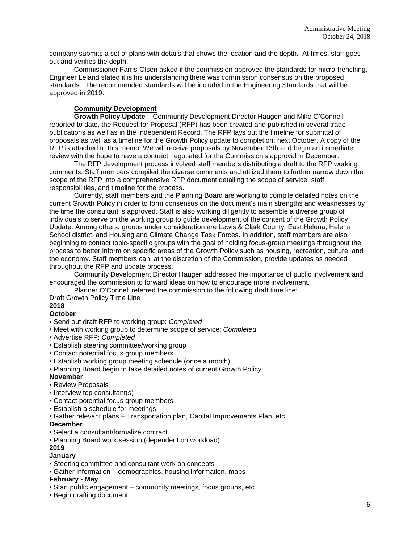company submits a set of plans with details that shows the location and the depth. At times, staff goes out and verifies the depth.

Commissioner Farris-Olsen asked if the commission approved the standards for micro-trenching. Engineer Leland stated it is his understanding there was commission consensus on the proposed standards. The recommended standards will be included in the Engineering Standards that will be approved in 2019.

## **Community Development**

**Growth Policy Update –** Community Development Director Haugen and Mike O'Connell reported to date, the Request for Proposal (RFP) has been created and published in several trade publications as well as in the Independent Record. The RFP lays out the timeline for submittal of proposals as well as a timeline for the Growth Policy update to completion, next October. A copy of the RFP is attached to this memo. We will receive proposals by November 13th and begin an immediate review with the hope to have a contract negotiated for the Commission's approval in December.

The RFP development process involved staff members distributing a draft to the RFP working comments. Staff members compiled the diverse comments and utilized them to further narrow down the scope of the RFP into a comprehensive RFP document detailing the scope of service, staff responsibilities, and timeline for the process.

Currently, staff members and the Planning Board are working to compile detailed notes on the current Growth Policy in order to form consensus on the document's main strengths and weaknesses by the time the consultant is approved. Staff is also working diligently to assemble a diverse group of individuals to serve on the working group to guide development of the content of the Growth Policy Update. Among others, groups under consideration are Lewis & Clark County, East Helena, Helena School district, and Housing and Climate Change Task Forces. In addition, staff members are also beginning to contact topic-specific groups with the goal of holding focus-group meetings throughout the process to better inform on specific areas of the Growth Policy such as housing, recreation, culture, and the economy. Staff members can, at the discretion of the Commission, provide updates as needed throughout the RFP and update process.

Community Development Director Haugen addressed the importance of public involvement and encouraged the commission to forward ideas on how to encourage more involvement.

Planner O'Connell referred the commission to the following draft time line:

Draft Growth Policy Time Line **2018**

## **October**

- Send out draft RFP to working group: *Completed*
- Meet with working group to determine scope of service: *Completed*
- Advertise RFP: *Completed*
- Establish steering committee/working group
- Contact potential focus group members
- Establish working group meeting schedule (once a month)
- Planning Board begin to take detailed notes of current Growth Policy

#### **November**

- Review Proposals
- Interview top consultant(s)
- Contact potential focus group members
- Establish a schedule for meetings
- Gather relevant plans Transportation plan, Capital Improvements Plan, etc.

## **December**

- Select a consultant/formalize contract
- Planning Board work session (dependent on workload)

### **2019**

### **January**

- Steering committee and consultant work on concepts
- Gather information demographics, housing information, maps

## **February - May**

- Start public engagement community meetings, focus groups, etc.
- Begin drafting document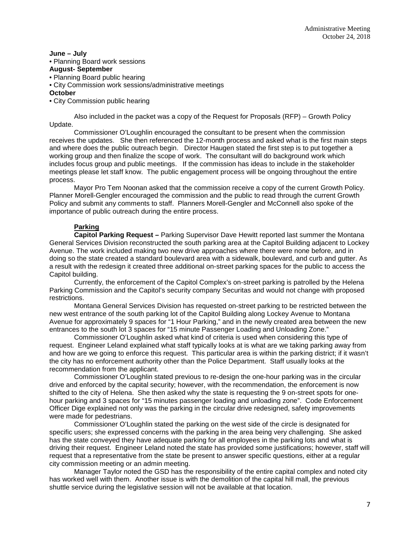#### **June – July**

### • Planning Board work sessions

### **August- September**

- Planning Board public hearing
- City Commission work sessions/administrative meetings

#### **October**

• City Commission public hearing

Also included in the packet was a copy of the Request for Proposals (RFP) – Growth Policy Update.

Commissioner O'Loughlin encouraged the consultant to be present when the commission receives the updates. She then referenced the 12-month process and asked what is the first main steps and where does the public outreach begin. Director Haugen stated the first step is to put together a working group and then finalize the scope of work. The consultant will do background work which includes focus group and public meetings. If the commission has ideas to include in the stakeholder meetings please let staff know. The public engagement process will be ongoing throughout the entire process.

Mayor Pro Tem Noonan asked that the commission receive a copy of the current Growth Policy. Planner Morell-Gengler encouraged the commission and the public to read through the current Growth Policy and submit any comments to staff. Planners Morell-Gengler and McConnell also spoke of the importance of public outreach during the entire process.

# **Parking**

**Capitol Parking Request –** Parking Supervisor Dave Hewitt reported last summer the Montana General Services Division reconstructed the south parking area at the Capitol Building adjacent to Lockey Avenue. The work included making two new drive approaches where there were none before, and in doing so the state created a standard boulevard area with a sidewalk, boulevard, and curb and gutter. As a result with the redesign it created three additional on-street parking spaces for the public to access the Capitol building.

Currently, the enforcement of the Capitol Complex's on-street parking is patrolled by the Helena Parking Commission and the Capitol's security company Securitas and would not change with proposed restrictions.

Montana General Services Division has requested on-street parking to be restricted between the new west entrance of the south parking lot of the Capitol Building along Lockey Avenue to Montana Avenue for approximately 9 spaces for "1 Hour Parking," and in the newly created area between the new entrances to the south lot 3 spaces for "15 minute Passenger Loading and Unloading Zone."

Commissioner O'Loughlin asked what kind of criteria is used when considering this type of request. Engineer Leland explained what staff typically looks at is what are we taking parking away from and how are we going to enforce this request. This particular area is within the parking district; if it wasn't the city has no enforcement authority other than the Police Department. Staff usually looks at the recommendation from the applicant.

Commissioner O'Loughlin stated previous to re-design the one-hour parking was in the circular drive and enforced by the capital security; however, with the recommendation, the enforcement is now shifted to the city of Helena. She then asked why the state is requesting the 9 on-street spots for onehour parking and 3 spaces for "15 minutes passenger loading and unloading zone". Code Enforcement Officer Dige explained not only was the parking in the circular drive redesigned, safety improvements were made for pedestrians.

Commissioner O'Loughlin stated the parking on the west side of the circle is designated for specific users; she expressed concerns with the parking in the area being very challenging. She asked has the state conveyed they have adequate parking for all employees in the parking lots and what is driving their request. Engineer Leland noted the state has provided some justifications; however, staff will request that a representative from the state be present to answer specific questions, either at a regular city commission meeting or an admin meeting.

Manager Taylor noted the GSD has the responsibility of the entire capital complex and noted city has worked well with them. Another issue is with the demolition of the capital hill mall, the previous shuttle service during the legislative session will not be available at that location.